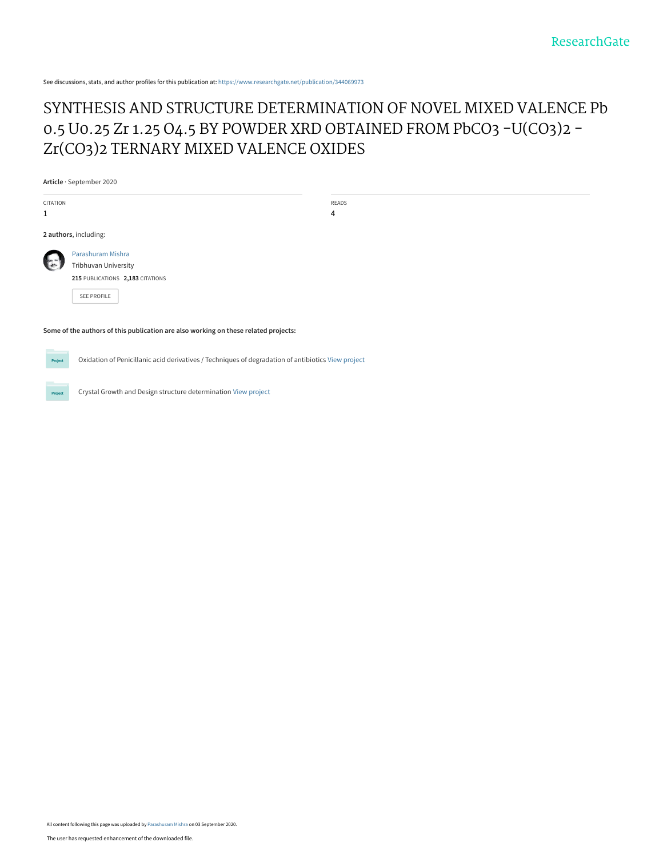See discussions, stats, and author profiles for this publication at: [https://www.researchgate.net/publication/344069973](https://www.researchgate.net/publication/344069973_SYNTHESIS_AND_STRUCTURE_DETERMINATION_OF_NOVEL_MIXED_VALENCE_Pb_05_U025_Zr_125_O45_BY_POWDER_XRD_OBTAINED_FROM_PbCO3_-UCO32_-ZrCO32_TERNARY_MIXED_VALENCE_OXIDES?enrichId=rgreq-f82caf7746dcb496230b17624b3312d2-XXX&enrichSource=Y292ZXJQYWdlOzM0NDA2OTk3MztBUzo5MzE1OTY3OTAxNTczMjBAMTU5OTEyMTM5MTkzNQ%3D%3D&el=1_x_2&_esc=publicationCoverPdf)

## [SYNTHESIS AND STRUCTURE DETERMINATION OF NOVEL MIXED VALENCE Pb](https://www.researchgate.net/publication/344069973_SYNTHESIS_AND_STRUCTURE_DETERMINATION_OF_NOVEL_MIXED_VALENCE_Pb_05_U025_Zr_125_O45_BY_POWDER_XRD_OBTAINED_FROM_PbCO3_-UCO32_-ZrCO32_TERNARY_MIXED_VALENCE_OXIDES?enrichId=rgreq-f82caf7746dcb496230b17624b3312d2-XXX&enrichSource=Y292ZXJQYWdlOzM0NDA2OTk3MztBUzo5MzE1OTY3OTAxNTczMjBAMTU5OTEyMTM5MTkzNQ%3D%3D&el=1_x_3&_esc=publicationCoverPdf) 0.5 U0.25 Zr 1.25 O4.5 BY POWDER XRD OBTAINED FROM PbCO3 -U(CO3)2 -Zr(CO3)2 TERNARY MIXED VALENCE OXIDES

**Article** · September 2020

| CITATION<br>$\mathbf{1}$ |                                                                                              | READS<br>$\overline{4}$ |  |  |
|--------------------------|----------------------------------------------------------------------------------------------|-------------------------|--|--|
|                          | 2 authors, including:                                                                        |                         |  |  |
| $\mathbb{R}$             | Parashuram Mishra<br>Tribhuvan University<br>215 PUBLICATIONS 2,183 CITATIONS<br>SEE PROFILE |                         |  |  |

**Some of the authors of this publication are also working on these related projects:**

Project

Oxidation of Penicillanic acid derivatives / Techniques of degradation of antibiotics [View project](https://www.researchgate.net/project/Oxidation-of-Penicillanic-acid-derivatives-Techniques-of-degradation-of-antibiotics?enrichId=rgreq-f82caf7746dcb496230b17624b3312d2-XXX&enrichSource=Y292ZXJQYWdlOzM0NDA2OTk3MztBUzo5MzE1OTY3OTAxNTczMjBAMTU5OTEyMTM5MTkzNQ%3D%3D&el=1_x_9&_esc=publicationCoverPdf)

Crystal Growth and Design structure determination [View project](https://www.researchgate.net/project/Crystal-Growth-and-Design-structure-determination?enrichId=rgreq-f82caf7746dcb496230b17624b3312d2-XXX&enrichSource=Y292ZXJQYWdlOzM0NDA2OTk3MztBUzo5MzE1OTY3OTAxNTczMjBAMTU5OTEyMTM5MTkzNQ%3D%3D&el=1_x_9&_esc=publicationCoverPdf)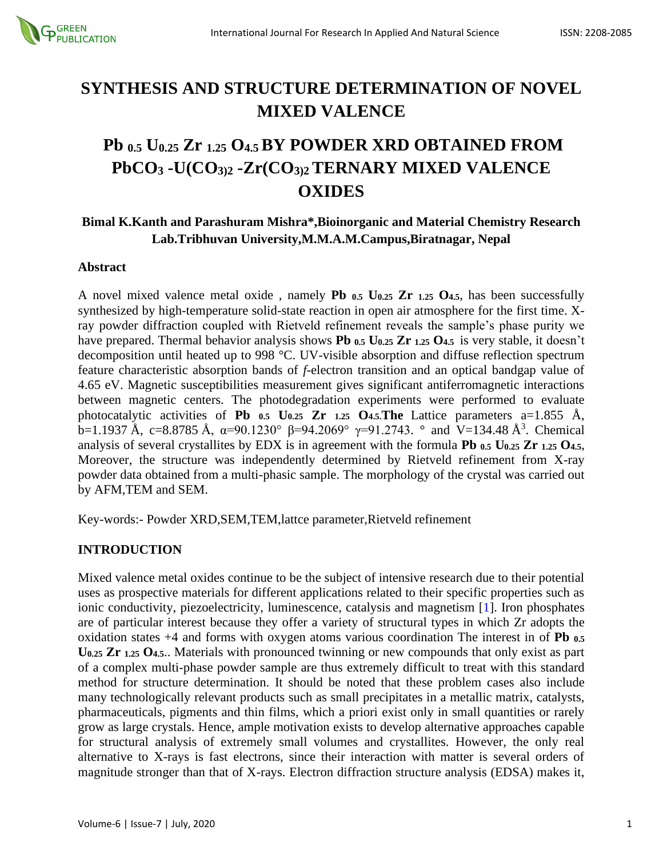

# **SYNTHESIS AND STRUCTURE DETERMINATION OF NOVEL MIXED VALENCE**

# **Pb 0.5 U0.25 Zr 1.25 O4.5 BY POWDER XRD OBTAINED FROM PbCO<sup>3</sup> -U(CO3)2 -Zr(CO3)2TERNARY MIXED VALENCE OXIDES**

## **Bimal K.Kanth and Parashuram Mishra\*,Bioinorganic and Material Chemistry Research Lab.Tribhuvan University,M.M.A.M.Campus,Biratnagar, Nepal**

#### **Abstract**

A novel mixed valence metal oxide , namely **Pb 0.5 U0.25 Zr 1.25 O4.5**, has been successfully synthesized by high-temperature solid-state reaction in open air atmosphere for the first time. Xray powder diffraction coupled with Rietveld refinement reveals the sample's phase purity we have prepared. Thermal behavior analysis shows **Pb 0.5 U0.25 Zr 1.25 O4.5** is very stable, it doesn't decomposition until heated up to 998 °C. UV-visible absorption and diffuse reflection spectrum feature characteristic absorption bands of *f*-electron transition and an optical bandgap value of 4.65 eV. Magnetic susceptibilities measurement gives significant antiferromagnetic interactions between magnetic centers. The photodegradation experiments were performed to evaluate photocatalytic activities of **Pb 0.5 U0.25 Zr 1.25 O4.5.The** Lattice parameters a=1.855 Å, b=1.1937 Å, c=8.8785 Å, α=90.1230° β=94.2069°  $\gamma$ =91.2743. ° and V=134.48 Å<sup>3</sup>. Chemical analysis of several crystallites by EDX is in agreement with the formula **Pb 0.5 U0.25 Zr 1.25 O4.5**, Moreover, the structure was independently determined by Rietveld refinement from X-ray powder data obtained from a multi-phasic sample. The morphology of the crystal was carried out by AFM,TEM and SEM.

Key-words:- Powder XRD,SEM,TEM,lattce parameter,Rietveld refinement

### **INTRODUCTION**

Mixed valence metal oxides continue to be the subject of intensive research due to their potential uses as prospective materials for different applications related to their specific properties such as ionic conductivity, piezoelectricity, luminescence, catalysis and magnetism [1]. Iron phosphates are of particular interest because they offer a variety of structural types in which Zr adopts the oxidation states +4 and forms with oxygen atoms various coordination The interest in of **Pb 0.5 U0.25 Zr 1.25 O4.5**.. Materials with pronounced twinning or new compounds that only exist as part of a complex multi-phase powder sample are thus extremely difficult to treat with this standard method for structure determination. It should be noted that these problem cases also include many technologically relevant products such as small precipitates in a metallic matrix, catalysts, pharmaceuticals, pigments and thin films, which a priori exist only in small quantities or rarely grow as large crystals. Hence, ample motivation exists to develop alternative approaches capable for structural analysis of extremely small volumes and crystallites. However, the only real alternative to X-rays is fast electrons, since their interaction with matter is several orders of magnitude stronger than that of X-rays. Electron diffraction structure analysis (EDSA) makes it,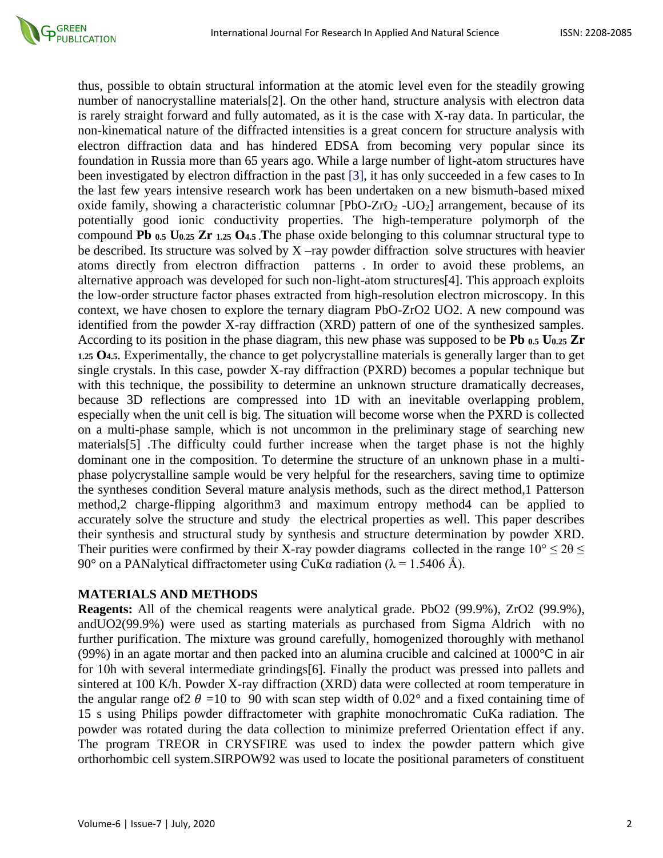

thus, possible to obtain structural information at the atomic level even for the steadily growing number of nanocrystalline materials[2]. On the other hand, structure analysis with electron data is rarely straight forward and fully automated, as it is the case with X-ray data. In particular, the non-kinematical nature of the diffracted intensities is a great concern for structure analysis with electron diffraction data and has hindered EDSA from becoming very popular since its foundation in Russia more than 65 years ago. While a large number of light-atom structures have been investigated by electron diffraction in the past [3], it has only succeeded in a few cases to In the last few years intensive research work has been undertaken on a new bismuth-based mixed oxide family, showing a characteristic columnar  $[PbO-ZrO<sub>2</sub> - UO<sub>2</sub>]$  arrangement, because of its potentially good ionic conductivity properties. The high-temperature polymorph of the compound **Pb 0.5 U0.25 Zr 1.25 O4.5 .T**he phase oxide belonging to this columnar structural type to be described. Its structure was solved by  $X$  –ray powder diffraction solve structures with heavier atoms directly from electron diffraction patterns . In order to avoid these problems, an alternative approach was developed for such non-light-atom structures[4]. This approach exploits the low-order structure factor phases extracted from high-resolution electron microscopy. In this context, we have chosen to explore the ternary diagram PbO-ZrO2 UO2. A new compound was identified from the powder X-ray diffraction (XRD) pattern of one of the synthesized samples. According to its position in the phase diagram, this new phase was supposed to be **Pb 0.5 U0.25 Zr 1.25 O4.5**. Experimentally, the chance to get polycrystalline materials is generally larger than to get single crystals. In this case, powder X-ray diffraction (PXRD) becomes a popular technique but with this technique, the possibility to determine an unknown structure dramatically decreases, because 3D reflections are compressed into 1D with an inevitable overlapping problem, especially when the unit cell is big. The situation will become worse when the PXRD is collected on a multi-phase sample, which is not uncommon in the preliminary stage of searching new materials[5] .The difficulty could further increase when the target phase is not the highly dominant one in the composition. To determine the structure of an unknown phase in a multiphase polycrystalline sample would be very helpful for the researchers, saving time to optimize the syntheses condition Several mature analysis methods, such as the direct method,1 Patterson method,2 charge-flipping algorithm3 and maximum entropy method4 can be applied to accurately solve the structure and study the electrical properties as well. This paper describes their synthesis and structural study by synthesis and structure determination by powder XRD. Their purities were confirmed by their X-ray powder diagrams collected in the range  $10^{\circ} \le 2\theta \le$ 90° on a PANalytical diffractometer using CuKα radiation (λ = 1.5406 Å).

#### **MATERIALS AND METHODS**

**Reagents:** All of the chemical reagents were analytical grade. PbO2 (99.9%), ZrO2 (99.9%), andUO2(99.9%) were used as starting materials as purchased from Sigma Aldrich with no further purification. The mixture was ground carefully, homogenized thoroughly with methanol (99%) in an agate mortar and then packed into an alumina crucible and calcined at 1000°C in air for 10h with several intermediate grindings[6]. Finally the product was pressed into pallets and sintered at 100 K/h. Powder X-ray diffraction (XRD) data were collected at room temperature in the angular range of  $2 \theta = 10$  to 90 with scan step width of 0.02° and a fixed containing time of 15 s using Philips powder diffractometer with graphite monochromatic CuKa radiation. The powder was rotated during the data collection to minimize preferred Orientation effect if any. The program TREOR in CRYSFIRE was used to index the powder pattern which give orthorhombic cell system.SIRPOW92 was used to locate the positional parameters of constituent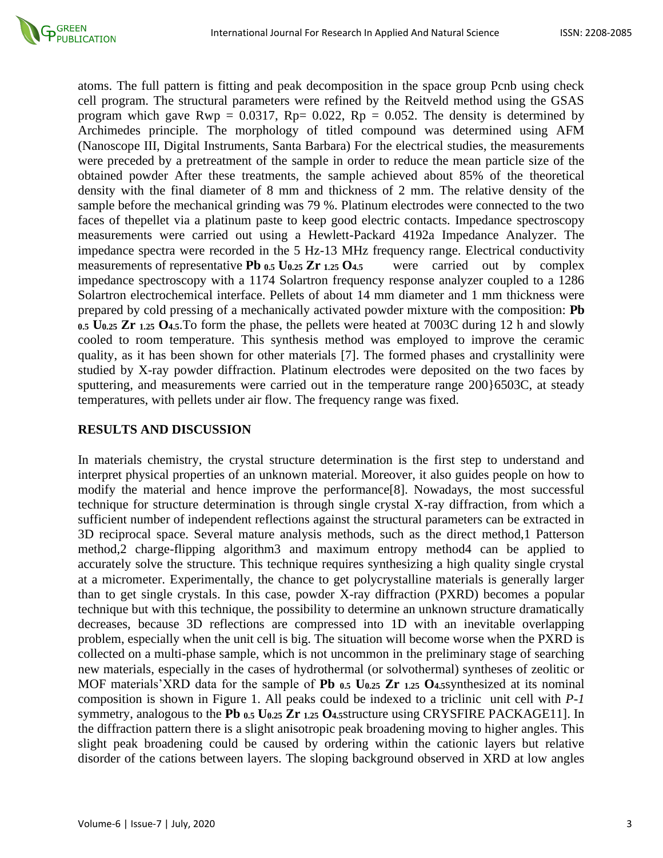

atoms. The full pattern is fitting and peak decomposition in the space group Pcnb using check cell program. The structural parameters were refined by the Reitveld method using the GSAS program which gave Rwp =  $0.0317$ , Rp=  $0.022$ , Rp =  $0.052$ . The density is determined by Archimedes principle. The morphology of titled compound was determined using AFM (Nanoscope III, Digital Instruments, Santa Barbara) For the electrical studies, the measurements were preceded by a pretreatment of the sample in order to reduce the mean particle size of the obtained powder After these treatments, the sample achieved about 85% of the theoretical density with the final diameter of 8 mm and thickness of 2 mm. The relative density of the sample before the mechanical grinding was 79 %. Platinum electrodes were connected to the two faces of thepellet via a platinum paste to keep good electric contacts. Impedance spectroscopy measurements were carried out using a Hewlett-Packard 4192a Impedance Analyzer. The impedance spectra were recorded in the 5 Hz-13 MHz frequency range. Electrical conductivity measurements of representative **Pb**  $_{0.5}$  **U** $_{0.25}$  **Zr**  $_{1.25}$  **O** $_{4.5}$  were carried out by complex impedance spectroscopy with a 1174 Solartron frequency response analyzer coupled to a 1286 Solartron electrochemical interface. Pellets of about 14 mm diameter and 1 mm thickness were prepared by cold pressing of a mechanically activated powder mixture with the composition: **Pb 0.5 U0.25 Zr 1.25 O4.5**.To form the phase, the pellets were heated at 7003C during 12 h and slowly cooled to room temperature. This synthesis method was employed to improve the ceramic quality, as it has been shown for other materials [7]. The formed phases and crystallinity were studied by X-ray powder diffraction. Platinum electrodes were deposited on the two faces by sputtering, and measurements were carried out in the temperature range 200}6503C, at steady temperatures, with pellets under air flow. The frequency range was fixed.

#### **RESULTS AND DISCUSSION**

In materials chemistry, the crystal structure determination is the first step to understand and interpret physical properties of an unknown material. Moreover, it also guides people on how to modify the material and hence improve the performance[8]. Nowadays, the most successful technique for structure determination is through single crystal X-ray diffraction, from which a sufficient number of independent reflections against the structural parameters can be extracted in 3D reciprocal space. Several mature analysis methods, such as the direct method,1 Patterson method,2 charge-flipping algorithm3 and maximum entropy method4 can be applied to accurately solve the structure. This technique requires synthesizing a high quality single crystal at a micrometer. Experimentally, the chance to get polycrystalline materials is generally larger than to get single crystals. In this case, powder X-ray diffraction (PXRD) becomes a popular technique but with this technique, the possibility to determine an unknown structure dramatically decreases, because 3D reflections are compressed into 1D with an inevitable overlapping problem, especially when the unit cell is big. The situation will become worse when the PXRD is collected on a multi-phase sample, which is not uncommon in the preliminary stage of searching new materials, especially in the cases of hydrothermal (or solvothermal) syntheses of zeolitic or MOF materials'XRD data for the sample of **Pb 0.5 U0.25 Zr 1.25 O4.5**synthesized at its nominal composition is shown in Figure 1. All peaks could be indexed to a triclinic unit cell with *P-1* symmetry, analogous to the **Pb 0.5 U0.25 Zr 1.25 O4.5**structure using CRYSFIRE PACKAGE11]. In the diffraction pattern there is a slight anisotropic peak broadening moving to higher angles. This slight peak broadening could be caused by ordering within the cationic layers but relative disorder of the cations between layers. The sloping background observed in XRD at low angles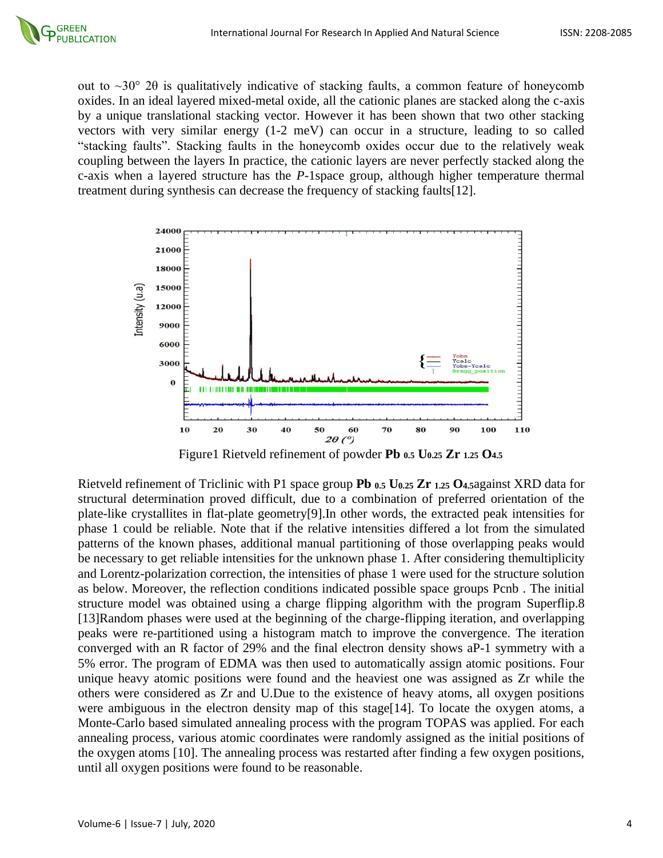out to ~30° 2θ is qualitatively indicative of stacking faults, a common feature of honeycomb oxides. In an ideal layered mixed-metal oxide, all the cationic planes are stacked along the c-axis by a unique translational stacking vector. However it has been shown that two other stacking vectors with very similar energy (1-2 meV) can occur in a structure, leading to so called "stacking faults". Stacking faults in the honeycomb oxides occur due to the relatively weak coupling between the layers In practice, the cationic layers are never perfectly stacked along the c-axis when a layered structure has the *P-*1space group, although higher temperature thermal treatment during synthesis can decrease the frequency of stacking faults[12].



Figure1 Rietveld refinement of powder **Pb 0.5 U0.25 Zr 1.25 O4.5**

Rietveld refinement of Triclinic with P1 space group **Pb 0.5 U0.25 Zr 1.25 O4.5**against XRD data for structural determination proved difficult, due to a combination of preferred orientation of the plate-like crystallites in flat-plate geometry[9].In other words, the extracted peak intensities for phase 1 could be reliable. Note that if the relative intensities differed a lot from the simulated patterns of the known phases, additional manual partitioning of those overlapping peaks would be necessary to get reliable intensities for the unknown phase 1. After considering themultiplicity and Lorentz-polarization correction, the intensities of phase 1 were used for the structure solution as below. Moreover, the reflection conditions indicated possible space groups Pcnb . The initial structure model was obtained using a charge flipping algorithm with the program Superflip.8 [13]Random phases were used at the beginning of the charge-flipping iteration, and overlapping peaks were re-partitioned using a histogram match to improve the convergence. The iteration converged with an R factor of 29% and the final electron density shows aP-1 symmetry with a 5% error. The program of EDMA was then used to automatically assign atomic positions. Four unique heavy atomic positions were found and the heaviest one was assigned as Zr while the others were considered as Zr and U.Due to the existence of heavy atoms, all oxygen positions were ambiguous in the electron density map of this stage[14]. To locate the oxygen atoms, a Monte-Carlo based simulated annealing process with the program TOPAS was applied. For each annealing process, various atomic coordinates were randomly assigned as the initial positions of the oxygen atoms [10]. The annealing process was restarted after finding a few oxygen positions, until all oxygen positions were found to be reasonable.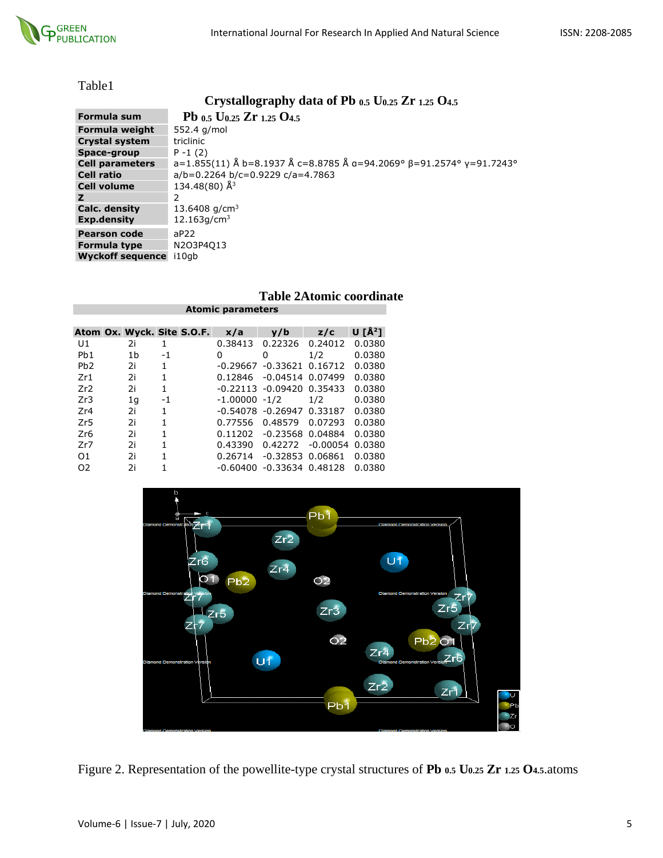

|--|

### **Crystallography data of Pb 0.5 U0.25 Zr 1.25 O4.5**

| Formula sum             | Pb $_{0.5}$ U <sub>0.25</sub> Zr $_{1.25}$ O <sub>4.5</sub>                   |
|-------------------------|-------------------------------------------------------------------------------|
| Formula weight          | 552.4 g/mol                                                                   |
| <b>Crystal system</b>   | triclinic                                                                     |
| Space-group             | $P - 1(2)$                                                                    |
| <b>Cell parameters</b>  | $a=1.855(11)$ Å b=8.1937 Å c=8.8785 Å a=94.2069° $\beta$ =91.2574° y=91.7243° |
| <b>Cell ratio</b>       | $a/b = 0.2264 b/c = 0.9229 c/a = 4.7863$                                      |
| <b>Cell volume</b>      | 134.48(80) $\AA$ <sup>3</sup>                                                 |
| z                       | 2                                                                             |
| Calc. density           | 13.6408 $q/cm3$                                                               |
| Exp.density             | 12.163q/cm <sup>3</sup>                                                       |
| <b>Pearson code</b>     | aP22                                                                          |
| <b>Formula type</b>     | N2O3P4O13                                                                     |
| <b>Wyckoff sequence</b> | i10ab                                                                         |

#### **Table 2Atomic coordinate Atomic parameters**

|                  |                |      | Atom Ox. Wyck. Site S.O.F. | x/a              | v/b                          | z/c        | U $\mathsf{I}^{\mathsf{A}^2}$ |
|------------------|----------------|------|----------------------------|------------------|------------------------------|------------|-------------------------------|
| U1               | 2i             | 1    |                            | 0.38413          | 0.22326                      | 0.24012    | 0.0380                        |
| P <sub>b</sub> 1 | 1 <sub>b</sub> | $-1$ |                            | 0                | 0                            | 1/2        | 0.0380                        |
| P <sub>b</sub> 2 | 2i             | 1    |                            | $-0.29667$       | $-0.33621$                   | 0.16712    | 0.0380                        |
| Zr1              | 2i             | 1    |                            | 0.12846          | $-0.04514$ 0.07499           |            | 0.0380                        |
| Zr2              | 2i             | 1    |                            |                  | $-0.22113 - 0.09420$ 0.35433 |            | 0.0380                        |
| Zr3              | 1 <sub>q</sub> | $-1$ |                            | $-1.00000 - 1/2$ |                              | 1/2        | 0.0380                        |
| Zr4              | 2i             | 1    |                            | -0.54078         | $-0.26947$                   | 0.33187    | 0.0380                        |
| Zr5              | 2i             | 1    |                            | 0.77556          | 0.48579                      | 0.07293    | 0.0380                        |
| Zr <sub>6</sub>  | 2i             | 1    |                            | 0.11202          | $-0.23568$                   | 0.04884    | 0.0380                        |
| Zr7              | 2i             | 1    |                            | 0.43390          | 0.42272                      | $-0.00054$ | 0.0380                        |
| 01               | 2i             | 1    |                            | 0.26714          | $-0.32853$                   | 0.06861    | 0.0380                        |
| 02               | 2i             |      |                            | $-0.60400$       | $-0.33634$ $0.48128$         |            | 0.0380                        |



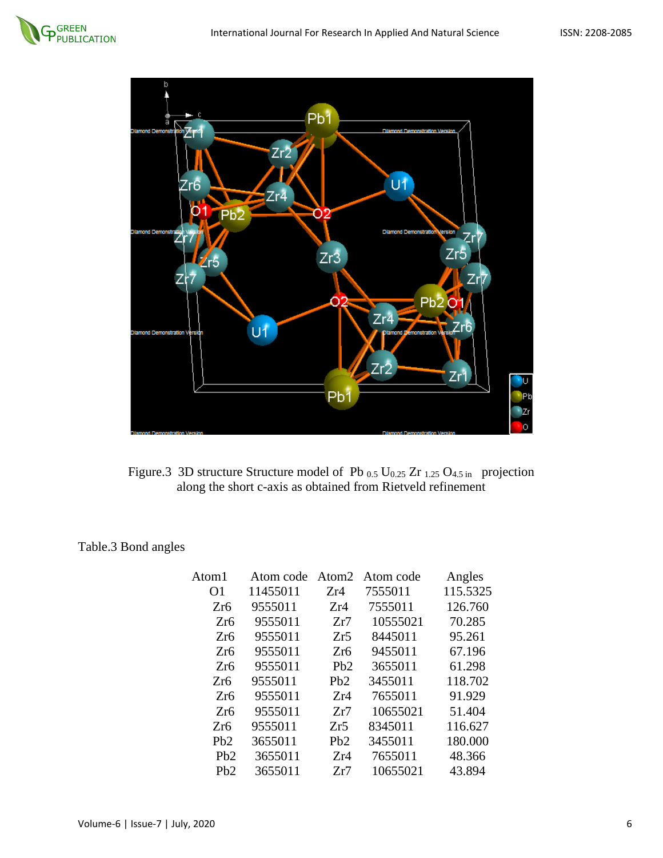



Figure.3 3D structure Structure model of Pb 0.5 U0.25 Zr 1.25 O4.5 in projection along the short c-axis as obtained from Rietveld refinement

Table.3 Bond angles

| Atom1            | Atom code |                 | Atom <sub>2</sub> Atom code | Angles   |
|------------------|-----------|-----------------|-----------------------------|----------|
| O <sub>1</sub>   | 11455011  | Zr4             | 7555011                     | 115.5325 |
| Zr6              | 9555011   | Zr4             | 7555011                     | 126.760  |
| Zr6              | 9555011   | Zr7             | 10555021                    | 70.285   |
| Zr <sub>6</sub>  | 9555011   | Zr5             | 8445011                     | 95.261   |
| Zr <sub>6</sub>  | 9555011   | Zr <sub>6</sub> | 9455011                     | 67.196   |
| Zr <sub>6</sub>  | 9555011   | Pb2             | 3655011                     | 61.298   |
| Zr6              | 9555011   | Pb2             | 3455011                     | 118.702  |
| Zr <sub>6</sub>  | 9555011   | Zr4             | 7655011                     | 91.929   |
| Zr <sub>6</sub>  | 9555011   | Zr7             | 10655021                    | 51.404   |
| Zr6              | 9555011   | Zr5             | 8345011                     | 116.627  |
| P <sub>b</sub> 2 | 3655011   | Pb2             | 3455011                     | 180.000  |
| Pb2              | 3655011   | Zr4             | 7655011                     | 48.366   |
| P <sub>b</sub> 2 | 3655011   | Zr7             | 10655021                    | 43.894   |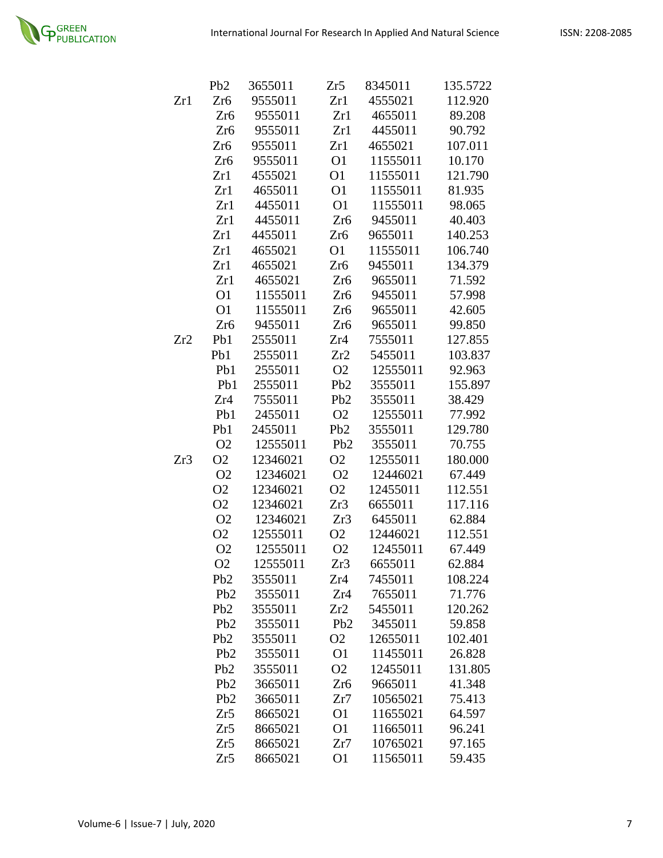

|     | Pb <sub>2</sub>  | 3655011  | Zr5             | 8345011  | 135.5722 |
|-----|------------------|----------|-----------------|----------|----------|
| Zr1 | Zr <sub>6</sub>  | 9555011  | Zr1             | 4555021  | 112.920  |
|     | Zr <sub>6</sub>  | 9555011  | Zr1             | 4655011  | 89.208   |
|     | Zr <sub>6</sub>  | 9555011  | Zr1             | 4455011  | 90.792   |
|     | Zr <sub>6</sub>  | 9555011  | Zr1             | 4655021  | 107.011  |
|     | Zr <sub>6</sub>  | 9555011  | O <sub>1</sub>  | 11555011 | 10.170   |
|     | Zr1              | 4555021  | O <sub>1</sub>  | 11555011 | 121.790  |
|     | Zr1              | 4655011  | O <sub>1</sub>  | 11555011 | 81.935   |
|     | Zr1              | 4455011  | O <sub>1</sub>  | 11555011 | 98.065   |
|     | Zr1              | 4455011  | Zr <sub>6</sub> | 9455011  | 40.403   |
|     | Zr1              | 4455011  | Zr <sub>6</sub> | 9655011  | 140.253  |
|     | Zr1              | 4655021  | O <sub>1</sub>  | 11555011 | 106.740  |
|     | Zr1              | 4655021  | Zr <sub>6</sub> | 9455011  | 134.379  |
|     | Zr1              | 4655021  | Zr <sub>6</sub> | 9655011  | 71.592   |
|     | O <sub>1</sub>   | 11555011 | Zr <sub>6</sub> | 9455011  | 57.998   |
|     | O <sub>1</sub>   | 11555011 | Zr <sub>6</sub> | 9655011  | 42.605   |
|     | Zr <sub>6</sub>  | 9455011  | Zr <sub>6</sub> | 9655011  | 99.850   |
| Zr2 | Pb1              | 2555011  | Zr4             | 7555011  | 127.855  |
|     | Pb1              | 2555011  | Zr2             | 5455011  | 103.837  |
|     | Pb1              | 2555011  | O <sub>2</sub>  | 12555011 | 92.963   |
|     | Pb1              | 2555011  | Pb <sub>2</sub> | 3555011  | 155.897  |
|     | Zr4              | 7555011  | Pb <sub>2</sub> | 3555011  | 38.429   |
|     | Pb1              | 2455011  | O <sub>2</sub>  | 12555011 | 77.992   |
|     | Pb1              | 2455011  | Pb <sub>2</sub> | 3555011  | 129.780  |
|     | O <sub>2</sub>   | 12555011 | Pb <sub>2</sub> | 3555011  | 70.755   |
| Zr3 | O <sub>2</sub>   | 12346021 | O <sub>2</sub>  | 12555011 | 180.000  |
|     | O <sub>2</sub>   | 12346021 | O <sub>2</sub>  | 12446021 | 67.449   |
|     | O <sub>2</sub>   | 12346021 | O <sub>2</sub>  | 12455011 | 112.551  |
|     | O <sub>2</sub>   | 12346021 | Zr3             | 6655011  | 117.116  |
|     | O <sub>2</sub>   | 12346021 | Zr3             | 6455011  | 62.884   |
|     | O <sub>2</sub>   | 12555011 | O <sub>2</sub>  | 12446021 | 112.551  |
|     | O <sub>2</sub>   | 12555011 | O <sub>2</sub>  | 12455011 | 67.449   |
|     | O <sub>2</sub>   | 12555011 | Zr3             | 6655011  | 62.884   |
|     | Pb <sub>2</sub>  | 3555011  | Zr4             | 7455011  | 108.224  |
|     | Pb2              | 3555011  | Zr4             | 7655011  | 71.776   |
|     | P <sub>b</sub> 2 | 3555011  | Zr2             | 5455011  | 120.262  |
|     | Pb2              | 3555011  | Pb2             | 3455011  | 59.858   |
|     | P <sub>b</sub> 2 | 3555011  | O <sub>2</sub>  | 12655011 | 102.401  |
|     | Pb <sub>2</sub>  | 3555011  | O <sub>1</sub>  | 11455011 | 26.828   |
|     | Pb <sub>2</sub>  | 3555011  | O <sub>2</sub>  | 12455011 | 131.805  |
|     | P <sub>b</sub> 2 | 3665011  | Zr <sub>6</sub> | 9665011  | 41.348   |
|     | P <sub>b</sub> 2 | 3665011  | Zr7             | 10565021 | 75.413   |
|     | Zr5              | 8665021  | O <sub>1</sub>  | 11655021 | 64.597   |
|     | Zr5              | 8665021  | O <sub>1</sub>  | 11665011 | 96.241   |
|     | Zr5              | 8665021  | Zr7             | 10765021 | 97.165   |
|     | Zr5              | 8665021  | O <sub>1</sub>  | 11565011 | 59.435   |
|     |                  |          |                 |          |          |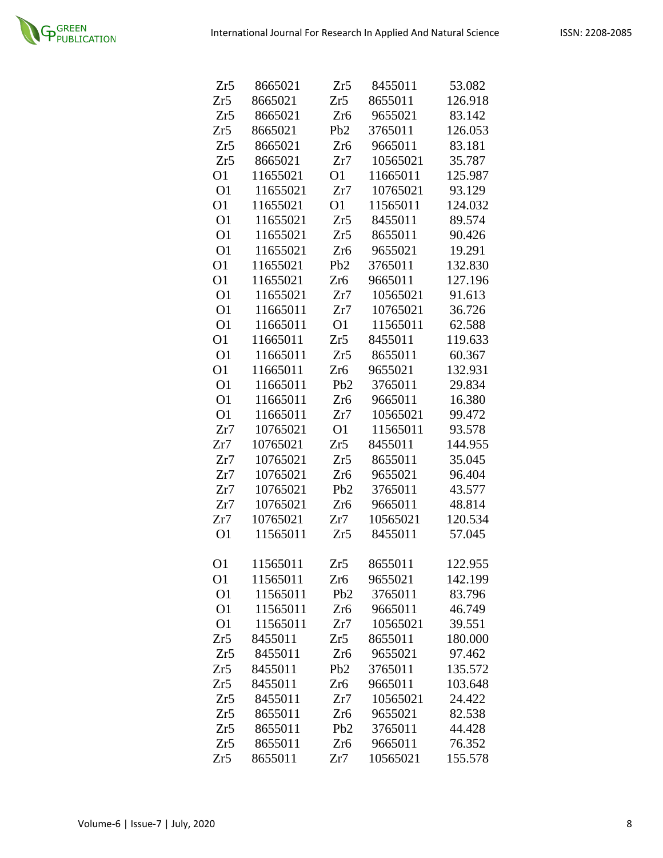| Zr5            | 8665021  | Zr5              | 8455011  | 53.082  |
|----------------|----------|------------------|----------|---------|
| Zr5            | 8665021  | Zr5              | 8655011  | 126.918 |
| Zr5            | 8665021  | Zr <sub>6</sub>  | 9655021  | 83.142  |
| Zr5            | 8665021  | P <sub>b</sub> 2 | 3765011  | 126.053 |
| Zr5            | 8665021  | Zr <sub>6</sub>  | 9665011  | 83.181  |
| Zr5            | 8665021  | Zr7              | 10565021 | 35.787  |
| O <sub>1</sub> | 11655021 | O <sub>1</sub>   | 11665011 | 125.987 |
| O <sub>1</sub> | 11655021 | Zr7              | 10765021 | 93.129  |
| O <sub>1</sub> | 11655021 | O <sub>1</sub>   | 11565011 | 124.032 |
| O <sub>1</sub> | 11655021 | Zr5              | 8455011  | 89.574  |
| O <sub>1</sub> | 11655021 | Zr5              | 8655011  | 90.426  |
| O <sub>1</sub> | 11655021 | Zr <sub>6</sub>  | 9655021  | 19.291  |
| O <sub>1</sub> | 11655021 | Pb2              | 3765011  | 132.830 |
| O <sub>1</sub> | 11655021 | Zr6              | 9665011  | 127.196 |
| O <sub>1</sub> | 11655021 | Zr7              | 10565021 | 91.613  |
| O <sub>1</sub> | 11665011 | Zr7              | 10765021 | 36.726  |
| O <sub>1</sub> | 11665011 | O <sub>1</sub>   | 11565011 | 62.588  |
| O <sub>1</sub> | 11665011 | Zr5              | 8455011  | 119.633 |
| O <sub>1</sub> | 11665011 | Zr5              | 8655011  | 60.367  |
| O <sub>1</sub> | 11665011 | Zr6              | 9655021  | 132.931 |
| O <sub>1</sub> | 11665011 | P <sub>b</sub> 2 | 3765011  | 29.834  |
| O <sub>1</sub> | 11665011 | Zr <sub>6</sub>  | 9665011  | 16.380  |
| O <sub>1</sub> | 11665011 | Zr7              | 10565021 | 99.472  |
| Zr7            | 10765021 | O <sub>1</sub>   | 11565011 | 93.578  |
| Zr7            | 10765021 | Zr5              | 8455011  | 144.955 |
| Zr7            | 10765021 | Zr5              | 8655011  | 35.045  |
| Zr7            | 10765021 | Zr <sub>6</sub>  | 9655021  | 96.404  |
| Zr7            | 10765021 | P <sub>b</sub> 2 | 3765011  | 43.577  |
| Zr7            | 10765021 | Zr <sub>6</sub>  | 9665011  | 48.814  |
| Zr7            | 10765021 | Zr7              | 10565021 | 120.534 |
| O <sub>1</sub> | 11565011 | Zr5              | 8455011  | 57.045  |
|                |          |                  |          |         |
| O1             | 11565011 | Zr5              | 8655011  | 122.955 |
| O1             | 11565011 | Zr6              | 9655021  | 142.199 |
| O <sub>1</sub> | 11565011 | P <sub>b</sub> 2 | 3765011  | 83.796  |
| O <sub>1</sub> | 11565011 | Zr6              | 9665011  | 46.749  |
| O <sub>1</sub> | 11565011 | Zr7              | 10565021 | 39.551  |
| Zr5            | 8455011  | Zr5              | 8655011  | 180.000 |
| Zr5            | 8455011  | Zr6              | 9655021  | 97.462  |
| Zr5            | 8455011  | P <sub>b</sub> 2 | 3765011  | 135.572 |
| Zr5            | 8455011  | Zr6              | 9665011  | 103.648 |
| Zr5            | 8455011  | Zr7              | 10565021 | 24.422  |
| Zr5            | 8655011  | Zr <sub>6</sub>  | 9655021  | 82.538  |
| Zr5            | 8655011  | Pb2              | 3765011  | 44.428  |
| Zr5            | 8655011  | Zr <sub>6</sub>  | 9665011  | 76.352  |
| Zr5            | 8655011  | Zr7              | 10565021 | 155.578 |
|                |          |                  |          |         |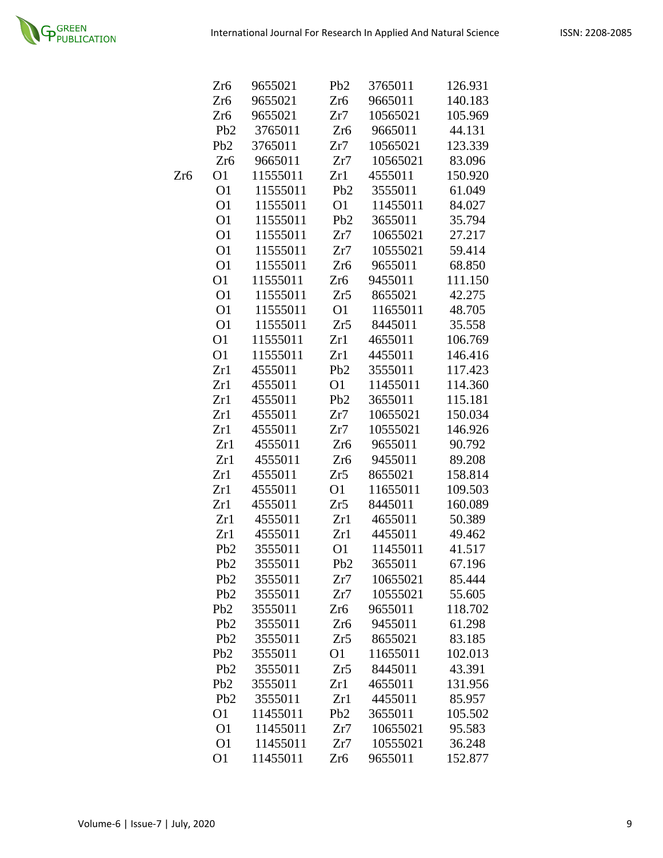

|     | Zr6              | 9655021  | P <sub>b</sub> 2 | 3765011  | 126.931 |
|-----|------------------|----------|------------------|----------|---------|
|     | Zr <sub>6</sub>  | 9655021  | Zr <sub>6</sub>  | 9665011  | 140.183 |
|     | Zr6              | 9655021  | Zr7              | 10565021 | 105.969 |
|     | P <sub>b</sub> 2 | 3765011  | Zr <sub>6</sub>  | 9665011  | 44.131  |
|     | P <sub>b</sub> 2 | 3765011  | Zr7              | 10565021 | 123.339 |
|     | Zr <sub>6</sub>  | 9665011  | Zr7              | 10565021 | 83.096  |
| Zr6 | O <sub>1</sub>   | 11555011 | Zr1              | 4555011  | 150.920 |
|     | O <sub>1</sub>   | 11555011 | Pb <sub>2</sub>  | 3555011  | 61.049  |
|     | O <sub>1</sub>   | 11555011 | <b>O1</b>        | 11455011 | 84.027  |
|     | O <sub>1</sub>   | 11555011 | Pb <sub>2</sub>  | 3655011  | 35.794  |
|     | O <sub>1</sub>   | 11555011 | Zr7              | 10655021 | 27.217  |
|     | O <sub>1</sub>   | 11555011 | Zr7              | 10555021 | 59.414  |
|     | O <sub>1</sub>   | 11555011 | Zr <sub>6</sub>  | 9655011  | 68.850  |
|     | O <sub>1</sub>   | 11555011 | Zr6              | 9455011  | 111.150 |
|     | O <sub>1</sub>   | 11555011 | Zr5              | 8655021  | 42.275  |
|     | O <sub>1</sub>   | 11555011 | O <sub>1</sub>   | 11655011 | 48.705  |
|     | O <sub>1</sub>   | 11555011 | Zr5              | 8445011  | 35.558  |
|     | O <sub>1</sub>   | 11555011 | Zr1              | 4655011  | 106.769 |
|     | O <sub>1</sub>   | 11555011 | Zr1              | 4455011  | 146.416 |
|     | Zr1              | 4555011  | P <sub>b</sub> 2 | 3555011  | 117.423 |
|     | Zr1              | 4555011  | O1               | 11455011 | 114.360 |
|     | Zr1              | 4555011  | Pb <sub>2</sub>  | 3655011  | 115.181 |
|     | Zr1              | 4555011  | Zr7              | 10655021 | 150.034 |
|     | Zr1              | 4555011  | Zr7              | 10555021 | 146.926 |
|     | Zr1              | 4555011  | Zr <sub>6</sub>  | 9655011  | 90.792  |
|     | Zr1              | 4555011  | Zr <sub>6</sub>  | 9455011  | 89.208  |
|     | Zr1              | 4555011  | Zr5              | 8655021  | 158.814 |
|     | Zr1              | 4555011  | O1               | 11655011 | 109.503 |
|     | Zr1              | 4555011  | Zr5              | 8445011  | 160.089 |
|     | Zr1              | 4555011  | Zr1              | 4655011  | 50.389  |
|     | Zr1              | 4555011  | Zr1              | 4455011  | 49.462  |
|     | P <sub>b</sub> 2 | 3555011  | O <sub>1</sub>   | 11455011 | 41.517  |
|     | Pb <sub>2</sub>  | 3555011  | Pb <sub>2</sub>  | 3655011  | 67.196  |
|     | P <sub>b</sub> 2 | 3555011  | Zr7              | 10655021 | 85.444  |
|     | Pb <sub>2</sub>  | 3555011  | Zr7              | 10555021 | 55.605  |
|     | Pb2              | 3555011  | Zr <sub>6</sub>  | 9655011  | 118.702 |
|     | P <sub>b</sub> 2 | 3555011  | Zr <sub>6</sub>  | 9455011  | 61.298  |
|     | Pb <sub>2</sub>  | 3555011  | Zr5              | 8655021  | 83.185  |
|     | Pb <sub>2</sub>  | 3555011  | O <sub>1</sub>   | 11655011 | 102.013 |
|     | Pb2              | 3555011  | Zr5              | 8445011  | 43.391  |
|     | Pb2              | 3555011  | Zr1              | 4655011  | 131.956 |
|     | Pb2              | 3555011  | Zr1              | 4455011  | 85.957  |
|     | O <sub>1</sub>   | 11455011 | Pb <sub>2</sub>  | 3655011  | 105.502 |
|     | O <sub>1</sub>   | 11455011 | Zr7              | 10655021 | 95.583  |
|     | O <sub>1</sub>   | 11455011 | Zr7              | 10555021 | 36.248  |
|     | O <sub>1</sub>   | 11455011 | Zr <sub>6</sub>  | 9655011  | 152.877 |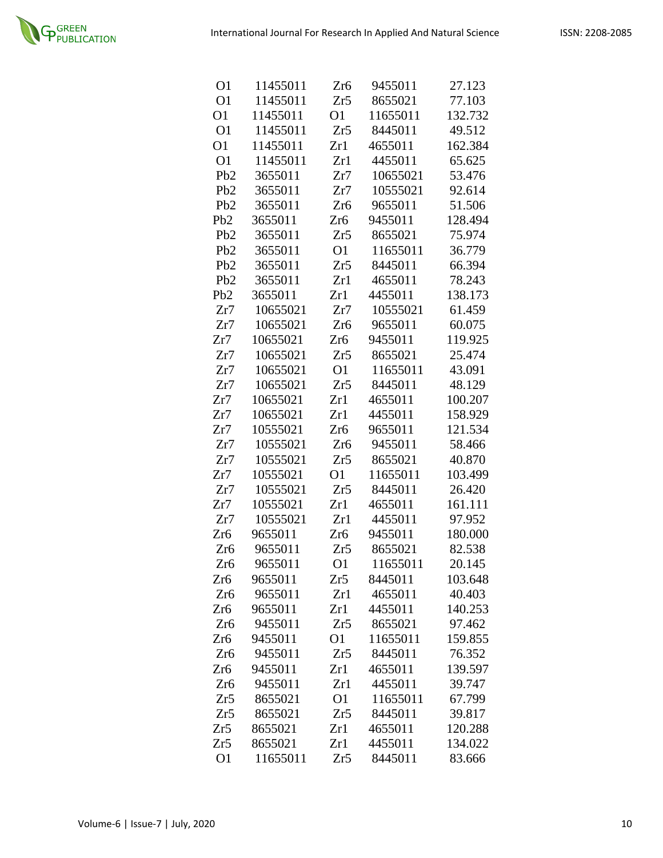| O1               | 11455011 | Zr6             | 9455011  | 27.123  |
|------------------|----------|-----------------|----------|---------|
| O <sub>1</sub>   | 11455011 | Zr5             | 8655021  | 77.103  |
| O <sub>1</sub>   | 11455011 | O <sub>1</sub>  | 11655011 | 132.732 |
| O <sub>1</sub>   | 11455011 | Zr5             | 8445011  | 49.512  |
| O <sub>1</sub>   | 11455011 | Zr1             | 4655011  | 162.384 |
| O <sub>1</sub>   | 11455011 | Zr1             | 4455011  | 65.625  |
| P <sub>b</sub> 2 | 3655011  | Zr7             | 10655021 | 53.476  |
| Pb <sub>2</sub>  | 3655011  | Zr7             | 10555021 | 92.614  |
| P <sub>b</sub> 2 | 3655011  | Zr6             | 9655011  | 51.506  |
| Pb <sub>2</sub>  | 3655011  | Zr6             | 9455011  | 128.494 |
| P <sub>b</sub> 2 | 3655011  | Zr5             | 8655021  | 75.974  |
| P <sub>b</sub> 2 | 3655011  | O <sub>1</sub>  | 11655011 | 36.779  |
| P <sub>b</sub> 2 | 3655011  | Zr5             | 8445011  | 66.394  |
| Pb <sub>2</sub>  | 3655011  | Zr1             | 4655011  | 78.243  |
| Pb2              | 3655011  | Zr1             | 4455011  | 138.173 |
| Zr7              | 10655021 | Zr7             | 10555021 | 61.459  |
| Zr7              | 10655021 | Zr <sub>6</sub> | 9655011  | 60.075  |
| Zr7              | 10655021 | Zr <sub>6</sub> | 9455011  | 119.925 |
| Zr7              | 10655021 | Zr5             | 8655021  | 25.474  |
| Zr7              | 10655021 | <b>O1</b>       | 11655011 | 43.091  |
| Zr7              | 10655021 | Zr5             | 8445011  | 48.129  |
| Zr7              | 10655021 | Zr1             | 4655011  | 100.207 |
| Zr7              | 10655021 | Zr1             | 4455011  | 158.929 |
| Zr7              | 10555021 | Zr <sub>6</sub> | 9655011  | 121.534 |
| Zr7              | 10555021 | Zr <sub>6</sub> | 9455011  | 58.466  |
| Zr7              | 10555021 | Zr5             | 8655021  | 40.870  |
| Zr7              | 10555021 | O <sub>1</sub>  | 11655011 | 103.499 |
| Zr7              | 10555021 | Zr5             | 8445011  | 26.420  |
| Zr7              | 10555021 | Zr1             | 4655011  | 161.111 |
| Zr7              | 10555021 | Zr1             | 4455011  | 97.952  |
| Zr <sub>6</sub>  | 9655011  | Zr <sub>6</sub> | 9455011  | 180.000 |
| Zr <sub>6</sub>  | 9655011  | Zr5             | 8655021  | 82.538  |
| Zr6              | 9655011  | O <sub>1</sub>  | 11655011 | 20.145  |
| Zr6              | 9655011  | Zr5             | 8445011  | 103.648 |
| Zr6              | 9655011  | Zr1             | 4655011  | 40.403  |
| Zr6              | 9655011  | Zr1             | 4455011  | 140.253 |
| Zr6              | 9455011  | Zr5             | 8655021  | 97.462  |
| Zr6              | 9455011  | O <sub>1</sub>  | 11655011 | 159.855 |
| Zr <sub>6</sub>  | 9455011  | Zr5             | 8445011  | 76.352  |
| Zr6              | 9455011  | Zr1             | 4655011  | 139.597 |
| Zr <sub>6</sub>  | 9455011  | Zr1             | 4455011  | 39.747  |
| Zr5              | 8655021  | O <sub>1</sub>  | 11655011 | 67.799  |
| Zr5              | 8655021  | Zr5             | 8445011  | 39.817  |
| Zr5              | 8655021  | Zr1             | 4655011  | 120.288 |
| Zr5              | 8655021  | Zr1             | 4455011  | 134.022 |
| O <sub>1</sub>   | 11655011 | Zr5             | 8445011  | 83.666  |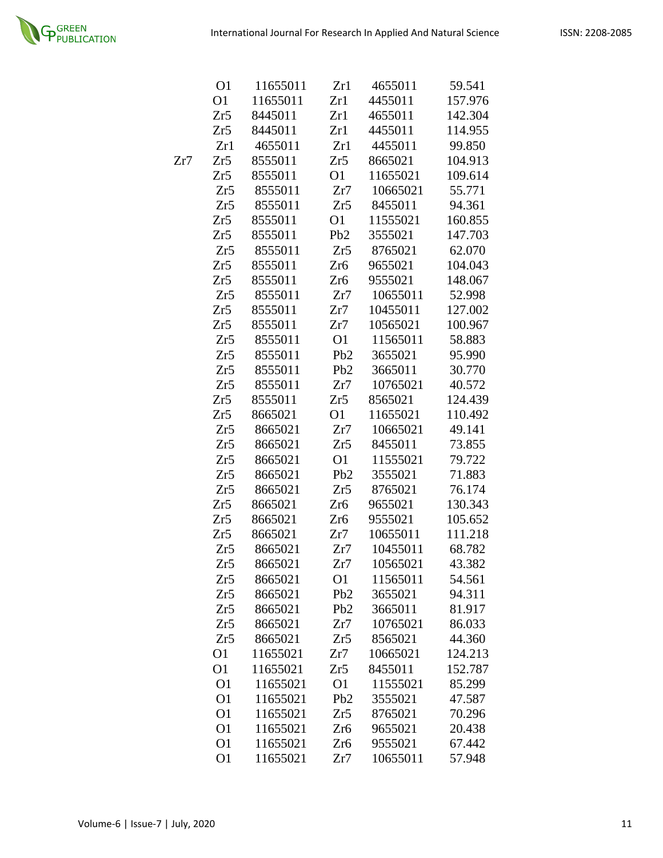

|     | O1             | 11655011 | Zr1              | 4655011  | 59.541  |
|-----|----------------|----------|------------------|----------|---------|
|     | O <sub>1</sub> | 11655011 | Zr1              | 4455011  | 157.976 |
|     | Zr5            | 8445011  | Zr1              | 4655011  | 142.304 |
|     | Zr5            | 8445011  | Zr1              | 4455011  | 114.955 |
|     | Zr1            | 4655011  | Zr1              | 4455011  | 99.850  |
| Zr7 | Zr5            | 8555011  | Zr5              | 8665021  | 104.913 |
|     | Zr5            | 8555011  | <b>O1</b>        | 11655021 | 109.614 |
|     | Zr5            | 8555011  | Zr7              | 10665021 | 55.771  |
|     | Zr5            | 8555011  | Zr5              | 8455011  | 94.361  |
|     | Zr5            | 8555011  | O <sub>1</sub>   | 11555021 | 160.855 |
|     | Zr5            | 8555011  | Pb <sub>2</sub>  | 3555021  | 147.703 |
|     | Zr5            | 8555011  | Zr5              | 8765021  | 62.070  |
|     | Zr5            | 8555011  | Zr <sub>6</sub>  | 9655021  | 104.043 |
|     | Zr5            | 8555011  | Zr <sub>6</sub>  | 9555021  | 148.067 |
|     | Zr5            | 8555011  | Zr7              | 10655011 | 52.998  |
|     | Zr5            | 8555011  | Zr7              | 10455011 | 127.002 |
|     | Zr5            | 8555011  | Zr7              | 10565021 | 100.967 |
|     | Zr5            | 8555011  | O <sub>1</sub>   | 11565011 | 58.883  |
|     | Zr5            | 8555011  | Pb <sub>2</sub>  | 3655021  | 95.990  |
|     | Zr5            | 8555011  | Pb <sub>2</sub>  | 3665011  | 30.770  |
|     | Zr5            | 8555011  | Zr7              | 10765021 | 40.572  |
|     | Zr5            | 8555011  | Zr5              | 8565021  | 124.439 |
|     | Zr5            | 8665021  | O1               | 11655021 | 110.492 |
|     | Zr5            | 8665021  | Zr7              | 10665021 | 49.141  |
|     | Zr5            | 8665021  | Zr5              | 8455011  | 73.855  |
|     | Zr5            | 8665021  | O <sub>1</sub>   | 11555021 | 79.722  |
|     | Zr5            | 8665021  | P <sub>b</sub> 2 | 3555021  | 71.883  |
|     | Zr5            | 8665021  | Zr5              | 8765021  | 76.174  |
|     | Zr5            | 8665021  | Zr <sub>6</sub>  | 9655021  | 130.343 |
|     | Zr5            | 8665021  | Zr <sub>6</sub>  | 9555021  | 105.652 |
|     | Zr5            | 8665021  | Zr7              | 10655011 | 111.218 |
|     | Zr5            | 8665021  | Zr7              | 10455011 | 68.782  |
|     | Zr5            | 8665021  | Zr7              | 10565021 | 43.382  |
|     | Zr5            | 8665021  | O <sub>1</sub>   | 11565011 | 54.561  |
|     | Zr5            | 8665021  | P <sub>b</sub> 2 | 3655021  | 94.311  |
|     | Zr5            | 8665021  | Pb <sub>2</sub>  | 3665011  | 81.917  |
|     | Zr5            | 8665021  | Zr7              | 10765021 | 86.033  |
|     | Zr5            | 8665021  | Zr5              | 8565021  | 44.360  |
|     | O1             | 11655021 | Zr7              | 10665021 | 124.213 |
|     | O <sub>1</sub> | 11655021 | Zr5              | 8455011  | 152.787 |
|     | O1             | 11655021 | O <sub>1</sub>   | 11555021 | 85.299  |
|     | O <sub>1</sub> | 11655021 | P <sub>b</sub> 2 | 3555021  | 47.587  |
|     | O <sub>1</sub> | 11655021 | Zr5              | 8765021  | 70.296  |
|     | O <sub>1</sub> | 11655021 | Zr6              | 9655021  | 20.438  |
|     | O <sub>1</sub> | 11655021 | Zr <sub>6</sub>  | 9555021  | 67.442  |
|     | O <sub>1</sub> | 11655021 | Zr7              | 10655011 | 57.948  |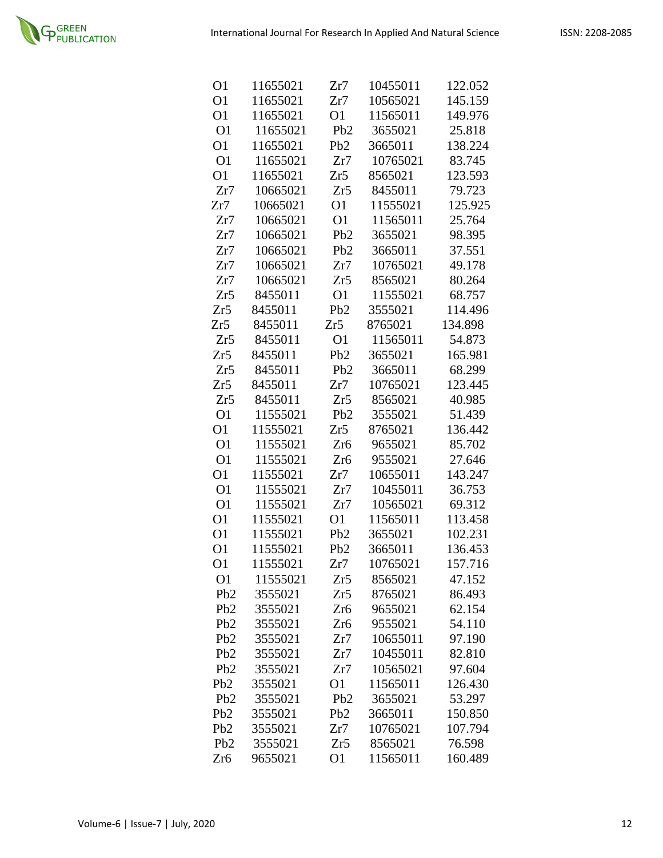

| O <sub>1</sub>   | 11655021 | Zr7              | 10455011 | 122.052 |
|------------------|----------|------------------|----------|---------|
| O <sub>1</sub>   | 11655021 | Zr7              | 10565021 | 145.159 |
| O <sub>1</sub>   | 11655021 | O <sub>1</sub>   | 11565011 | 149.976 |
| O <sub>1</sub>   | 11655021 | P <sub>b</sub> 2 | 3655021  | 25.818  |
| O <sub>1</sub>   | 11655021 | Pb <sub>2</sub>  | 3665011  | 138.224 |
| O <sub>1</sub>   | 11655021 | Zr7              | 10765021 | 83.745  |
| O <sub>1</sub>   | 11655021 | Zr5              | 8565021  | 123.593 |
| Zr7              | 10665021 | Zr5              | 8455011  | 79.723  |
| Zr7              | 10665021 | O <sub>1</sub>   | 11555021 | 125.925 |
| Zr7              | 10665021 | O <sub>1</sub>   | 11565011 | 25.764  |
| Zr7              | 10665021 | Pb <sub>2</sub>  | 3655021  | 98.395  |
| Zr7              | 10665021 | Pb <sub>2</sub>  | 3665011  | 37.551  |
| Zr7              | 10665021 | Zr7              | 10765021 | 49.178  |
| Zr7              | 10665021 | Zr5              | 8565021  | 80.264  |
| Zr5              | 8455011  | O <sub>1</sub>   | 11555021 | 68.757  |
| Zr5              | 8455011  | P <sub>b</sub> 2 | 3555021  | 114.496 |
| Zr5              | 8455011  | Zr5              | 8765021  | 134.898 |
| Zr5              | 8455011  | O <sub>1</sub>   | 11565011 | 54.873  |
| Zr5              | 8455011  | Pb <sub>2</sub>  | 3655021  | 165.981 |
| Zr5              | 8455011  | Pb <sub>2</sub>  | 3665011  | 68.299  |
| Zr5              | 8455011  | Zr7              | 10765021 | 123.445 |
| Zr5              | 8455011  | Zr5              | 8565021  | 40.985  |
| O <sub>1</sub>   | 11555021 | Pb <sub>2</sub>  | 3555021  | 51.439  |
| O <sub>1</sub>   | 11555021 | Zr5              | 8765021  | 136.442 |
| O <sub>1</sub>   | 11555021 | Zr <sub>6</sub>  | 9655021  | 85.702  |
| O <sub>1</sub>   | 11555021 | Zr <sub>6</sub>  | 9555021  | 27.646  |
| O <sub>1</sub>   | 11555021 | Zr7              | 10655011 | 143.247 |
| O <sub>1</sub>   | 11555021 | Zr7              | 10455011 | 36.753  |
| O <sub>1</sub>   | 11555021 | Zr7              | 10565021 | 69.312  |
| O <sub>1</sub>   | 11555021 | O <sub>1</sub>   | 11565011 | 113.458 |
| O <sub>1</sub>   | 11555021 | Pb <sub>2</sub>  | 3655021  | 102.231 |
| O <sub>1</sub>   | 11555021 | Pb <sub>2</sub>  | 3665011  | 136.453 |
| O <sub>1</sub>   | 11555021 | Zr7              | 10765021 | 157.716 |
| O <sub>1</sub>   | 11555021 | Zr5              | 8565021  | 47.152  |
| P <sub>b</sub> 2 | 3555021  | Zr5              | 8765021  | 86.493  |
| P <sub>b</sub> 2 | 3555021  | Zr <sub>6</sub>  | 9655021  | 62.154  |
| P <sub>b</sub> 2 | 3555021  | Zr <sub>6</sub>  | 9555021  | 54.110  |
| Pb <sub>2</sub>  | 3555021  | Zr7              | 10655011 | 97.190  |
| P <sub>b</sub> 2 | 3555021  | Zr7              | 10455011 | 82.810  |
| P <sub>b</sub> 2 | 3555021  | Zr7              | 10565021 | 97.604  |
| P <sub>b</sub> 2 | 3555021  | O1               | 11565011 | 126.430 |
| P <sub>b</sub> 2 | 3555021  | Pb2              | 3655021  | 53.297  |
| P <sub>b</sub> 2 | 3555021  | P <sub>b</sub> 2 | 3665011  | 150.850 |
| P <sub>b</sub> 2 | 3555021  | Zr7              | 10765021 | 107.794 |
| Pb <sub>2</sub>  | 3555021  | Zr5              | 8565021  | 76.598  |
| Zr <sub>6</sub>  | 9655021  | O <sub>1</sub>   | 11565011 | 160.489 |
|                  |          |                  |          |         |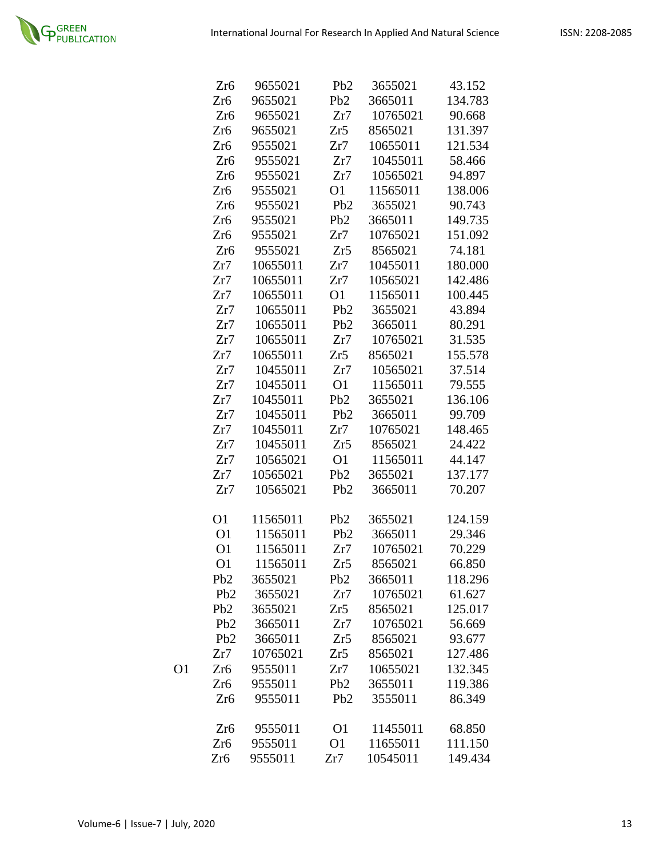

|    | Zr6              | 9655021  | P <sub>b</sub> 2 | 3655021  | 43.152  |
|----|------------------|----------|------------------|----------|---------|
|    | Zr <sub>6</sub>  | 9655021  | Pb <sub>2</sub>  | 3665011  | 134.783 |
|    | Zr <sub>6</sub>  | 9655021  | Zr7              | 10765021 | 90.668  |
|    | Zr <sub>6</sub>  | 9655021  | Zr5              | 8565021  | 131.397 |
|    | Zr6              | 9555021  | Zr7              | 10655011 | 121.534 |
|    | Zr <sub>6</sub>  | 9555021  | Zr7              | 10455011 | 58.466  |
|    | Zr <sub>6</sub>  | 9555021  | Zr7              | 10565021 | 94.897  |
|    | Zr <sub>6</sub>  | 9555021  | O <sub>1</sub>   | 11565011 | 138.006 |
|    | Zr <sub>6</sub>  | 9555021  | Pb2              | 3655021  | 90.743  |
|    | Zr6              | 9555021  | P <sub>b</sub> 2 | 3665011  | 149.735 |
|    | Zr <sub>6</sub>  | 9555021  | Zr7              | 10765021 | 151.092 |
|    | Zr <sub>6</sub>  | 9555021  | Zr5              | 8565021  | 74.181  |
|    | Zr7              | 10655011 | Zr7              | 10455011 | 180.000 |
|    | Zr7              | 10655011 | Zr7              | 10565021 | 142.486 |
|    | Zr7              | 10655011 | O <sub>1</sub>   | 11565011 | 100.445 |
|    | Zr7              | 10655011 | Pb <sub>2</sub>  | 3655021  | 43.894  |
|    | Zr7              | 10655011 | P <sub>b</sub> 2 | 3665011  | 80.291  |
|    | Zr7              | 10655011 | Zr7              | 10765021 | 31.535  |
|    | Zr7              | 10655011 | Zr5              | 8565021  | 155.578 |
|    | Zr7              | 10455011 | Zr7              | 10565021 | 37.514  |
|    | Zr7              | 10455011 | O <sub>1</sub>   | 11565011 | 79.555  |
|    | Zr7              | 10455011 | P <sub>b</sub> 2 | 3655021  | 136.106 |
|    | Zr7              | 10455011 | Pb2              | 3665011  | 99.709  |
|    | Zr7              | 10455011 | Zr7              | 10765021 | 148.465 |
|    | Zr7              | 10455011 | Zr5              | 8565021  | 24.422  |
|    | Zr7              | 10565021 | O <sub>1</sub>   | 11565011 | 44.147  |
|    | Zr7              | 10565021 | Pb <sub>2</sub>  | 3655021  | 137.177 |
|    | Zr7              | 10565021 | Pb <sub>2</sub>  | 3665011  | 70.207  |
|    | O1               | 11565011 | Pb2              | 3655021  | 124.159 |
|    | O <sub>1</sub>   | 11565011 | Pb <sub>2</sub>  | 3665011  | 29.346  |
|    | O <sub>1</sub>   | 11565011 | Zr7              | 10765021 | 70.229  |
|    | O <sub>1</sub>   | 11565011 | Zr5              | 8565021  | 66.850  |
|    | Pb2              | 3655021  | Pb2              | 3665011  | 118.296 |
|    | P <sub>b</sub> 2 | 3655021  | Zr7              | 10765021 | 61.627  |
|    | Pb2              | 3655021  | Zr5              | 8565021  | 125.017 |
|    | Pb <sub>2</sub>  | 3665011  | Zr7              | 10765021 | 56.669  |
|    | P <sub>b</sub> 2 | 3665011  | Zr5              | 8565021  | 93.677  |
|    | Zr7              | 10765021 | Zr5              | 8565021  | 127.486 |
| O1 | Zr6              | 9555011  | Zr7              | 10655021 | 132.345 |
|    | Zr <sub>6</sub>  | 9555011  | P <sub>b</sub> 2 | 3655011  | 119.386 |
|    | Zr6              | 9555011  | Pb <sub>2</sub>  | 3555011  | 86.349  |
|    | Zr <sub>6</sub>  | 9555011  | O <sub>1</sub>   | 11455011 | 68.850  |
|    | Zr <sub>6</sub>  | 9555011  | <b>O</b> 1       | 11655011 | 111.150 |
|    | Zr <sub>6</sub>  | 9555011  | Zr7              | 10545011 | 149.434 |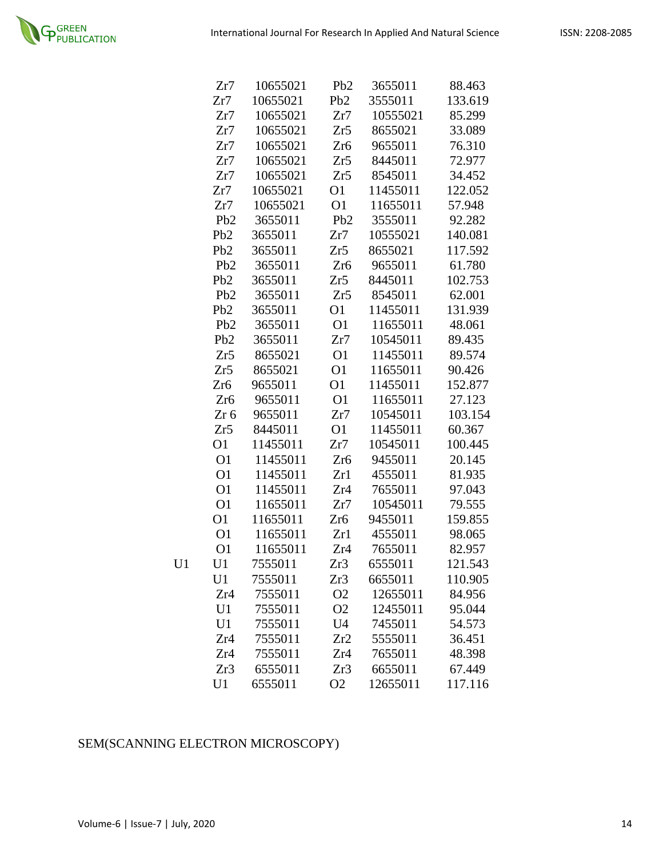|    | Zr7              | 10655021 | P <sub>b</sub> 2 | 3655011  | 88.463  |
|----|------------------|----------|------------------|----------|---------|
|    | Zr7              | 10655021 | Pb <sub>2</sub>  | 3555011  | 133.619 |
|    | Zr7              | 10655021 | Zr7              | 10555021 | 85.299  |
|    | Zr7              | 10655021 | Zr5              | 8655021  | 33.089  |
|    | Zr7              | 10655021 | Zr <sub>6</sub>  | 9655011  | 76.310  |
|    | Zr7              | 10655021 | Zr5              | 8445011  | 72.977  |
|    | Zr7              | 10655021 | Zr5              | 8545011  | 34.452  |
|    | Zr7              | 10655021 | O <sub>1</sub>   | 11455011 | 122.052 |
|    | Zr7              | 10655021 | O <sub>1</sub>   | 11655011 | 57.948  |
|    | P <sub>b</sub> 2 | 3655011  | Pb <sub>2</sub>  | 3555011  | 92.282  |
|    | P <sub>b</sub> 2 | 3655011  | Zr7              | 10555021 | 140.081 |
|    | P <sub>b</sub> 2 | 3655011  | Zr5              | 8655021  | 117.592 |
|    | Pb2              | 3655011  | Zr <sub>6</sub>  | 9655011  | 61.780  |
|    | P <sub>b</sub> 2 | 3655011  | Zr5              | 8445011  | 102.753 |
|    | Pb <sub>2</sub>  | 3655011  | Zr5              | 8545011  | 62.001  |
|    | Pb2              | 3655011  | O <sub>1</sub>   | 11455011 | 131.939 |
|    | P <sub>b</sub> 2 | 3655011  | O <sub>1</sub>   | 11655011 | 48.061  |
|    | Pb <sub>2</sub>  | 3655011  | Zr7              | 10545011 | 89.435  |
|    | Zr5              | 8655021  | O <sub>1</sub>   | 11455011 | 89.574  |
|    | Zr5              | 8655021  | O <sub>1</sub>   | 11655011 | 90.426  |
|    | Zr <sub>6</sub>  | 9655011  | O1               | 11455011 | 152.877 |
|    | Zr <sub>6</sub>  | 9655011  | O <sub>1</sub>   | 11655011 | 27.123  |
|    | $Zr$ 6           | 9655011  | Zr7              | 10545011 | 103.154 |
|    | Zr5              | 8445011  | O <sub>1</sub>   | 11455011 | 60.367  |
|    | O <sub>1</sub>   | 11455011 | Zr7              | 10545011 | 100.445 |
|    | O <sub>1</sub>   | 11455011 | Zr <sub>6</sub>  | 9455011  | 20.145  |
|    | O <sub>1</sub>   | 11455011 | Zr1              | 4555011  | 81.935  |
|    | O <sub>1</sub>   | 11455011 | Zr4              | 7655011  | 97.043  |
|    | O <sub>1</sub>   | 11655011 | Zr7              | 10545011 | 79.555  |
|    | O <sub>1</sub>   | 11655011 | Zr <sub>6</sub>  | 9455011  | 159.855 |
|    | O <sub>1</sub>   | 11655011 | Zr1              | 4555011  | 98.065  |
|    | O <sub>1</sub>   | 11655011 | Zr <sub>4</sub>  | 7655011  | 82.957  |
| U1 | U1               | 7555011  | Zr3              | 6555011  | 121.543 |
|    | U1               | 7555011  | Zr3              | 6655011  | 110.905 |
|    | Zr4              | 7555011  | O <sub>2</sub>   | 12655011 | 84.956  |
|    | U1               | 7555011  | O <sub>2</sub>   | 12455011 | 95.044  |
|    | U1               | 7555011  | U <sub>4</sub>   | 7455011  | 54.573  |
|    | Zr4              | 7555011  | Zr2              | 5555011  | 36.451  |
|    | Zr4              | 7555011  | Zr4              | 7655011  | 48.398  |
|    | Zr3              | 6555011  | Zr3              | 6655011  | 67.449  |
|    | U1               | 6555011  | O <sub>2</sub>   | 12655011 | 117.116 |

## SEM(SCANNING ELECTRON MICROSCOPY)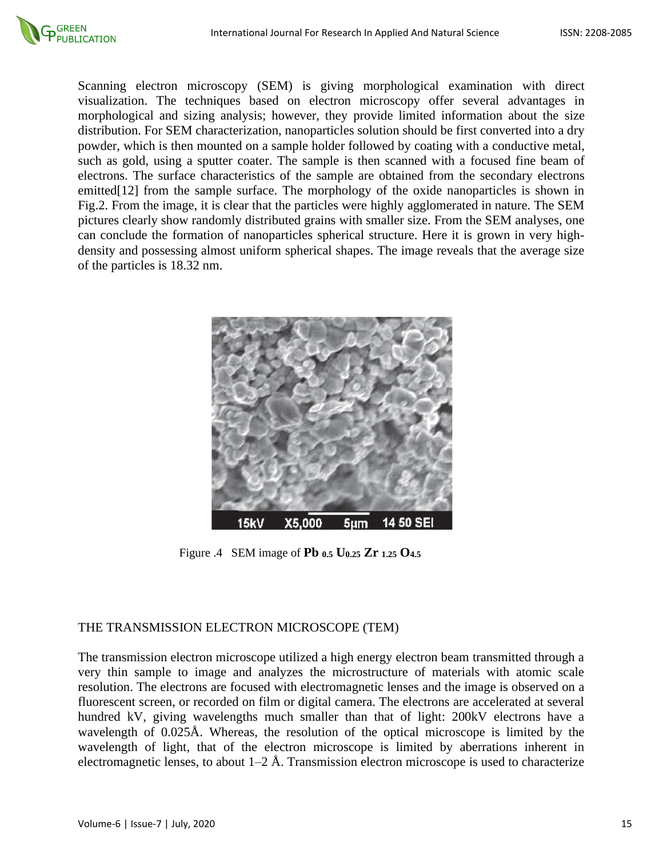

Scanning electron microscopy (SEM) is giving morphological examination with direct visualization. The techniques based on electron microscopy offer several advantages in morphological and sizing analysis; however, they provide limited information about the size distribution. For SEM characterization, nanoparticles solution should be first converted into a dry powder, which is then mounted on a sample holder followed by coating with a conductive metal, such as gold, using a sputter coater. The sample is then scanned with a focused fine beam of electrons. The surface characteristics of the sample are obtained from the secondary electrons emitted<sup>[12]</sup> from the sample surface. The morphology of the oxide nanoparticles is shown in Fig.2. From the image, it is clear that the particles were highly agglomerated in nature. The SEM pictures clearly show randomly distributed grains with smaller size. From the SEM analyses, one can conclude the formation of nanoparticles spherical structure. Here it is grown in very highdensity and possessing almost uniform spherical shapes. The image reveals that the average size of the particles is 18.32 nm.



Figure .4 SEM image of **Pb 0.5 U0.25 Zr 1.25 O4.5**

### THE TRANSMISSION ELECTRON MICROSCOPE (TEM)

The transmission electron microscope utilized a high energy electron beam transmitted through a very thin sample to image and analyzes the microstructure of materials with atomic scale resolution. The electrons are focused with electromagnetic lenses and the image is observed on a fluorescent screen, or recorded on film or digital camera. The electrons are accelerated at several hundred kV, giving wavelengths much smaller than that of light: 200kV electrons have a wavelength of 0.025Å. Whereas, the resolution of the optical microscope is limited by the wavelength of light, that of the electron microscope is limited by aberrations inherent in electromagnetic lenses, to about  $1-2$  Å. Transmission electron microscope is used to characterize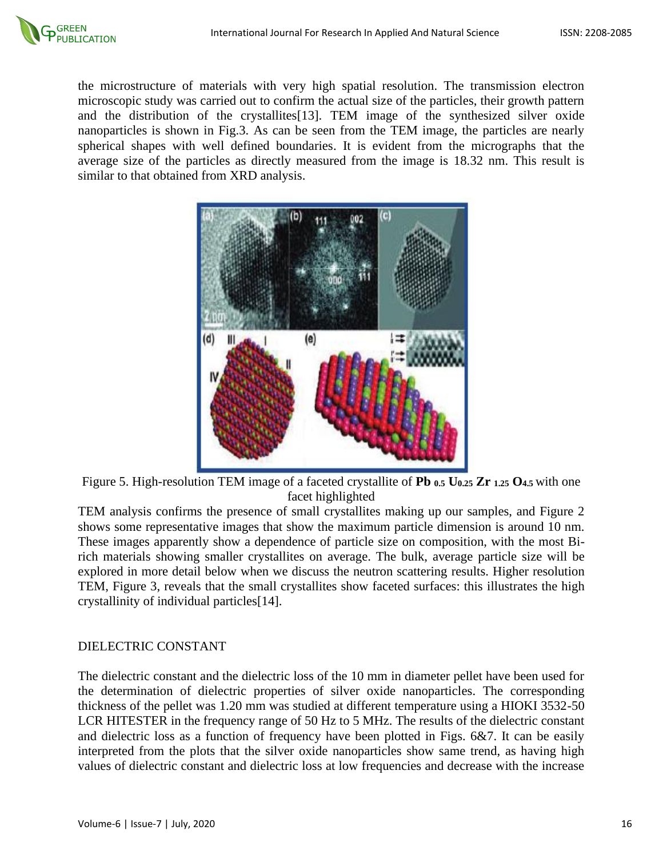the microstructure of materials with very high spatial resolution. The transmission electron microscopic study was carried out to confirm the actual size of the particles, their growth pattern and the distribution of the crystallites[13]. TEM image of the synthesized silver oxide nanoparticles is shown in Fig.3. As can be seen from the TEM image, the particles are nearly spherical shapes with well defined boundaries. It is evident from the micrographs that the average size of the particles as directly measured from the image is 18.32 nm. This result is similar to that obtained from XRD analysis.



Figure 5. High-resolution TEM image of a faceted crystallite of **Pb 0.5 U0.25 Zr 1.25 O4.5** with one facet highlighted

TEM analysis confirms the presence of small crystallites making up our samples, and Figure 2 shows some representative images that show the maximum particle dimension is around 10 nm. These images apparently show a dependence of particle size on composition, with the most Birich materials showing smaller crystallites on average. The bulk, average particle size will be explored in more detail below when we discuss the neutron scattering results. Higher resolution TEM, Figure 3, reveals that the small crystallites show faceted surfaces: this illustrates the high crystallinity of individual particles[14].

## DIELECTRIC CONSTANT

The dielectric constant and the dielectric loss of the 10 mm in diameter pellet have been used for the determination of dielectric properties of silver oxide nanoparticles. The corresponding thickness of the pellet was 1.20 mm was studied at different temperature using a HIOKI 3532-50 LCR HITESTER in the frequency range of 50 Hz to 5 MHz. The results of the dielectric constant and dielectric loss as a function of frequency have been plotted in Figs. 6&7. It can be easily interpreted from the plots that the silver oxide nanoparticles show same trend, as having high values of dielectric constant and dielectric loss at low frequencies and decrease with the increase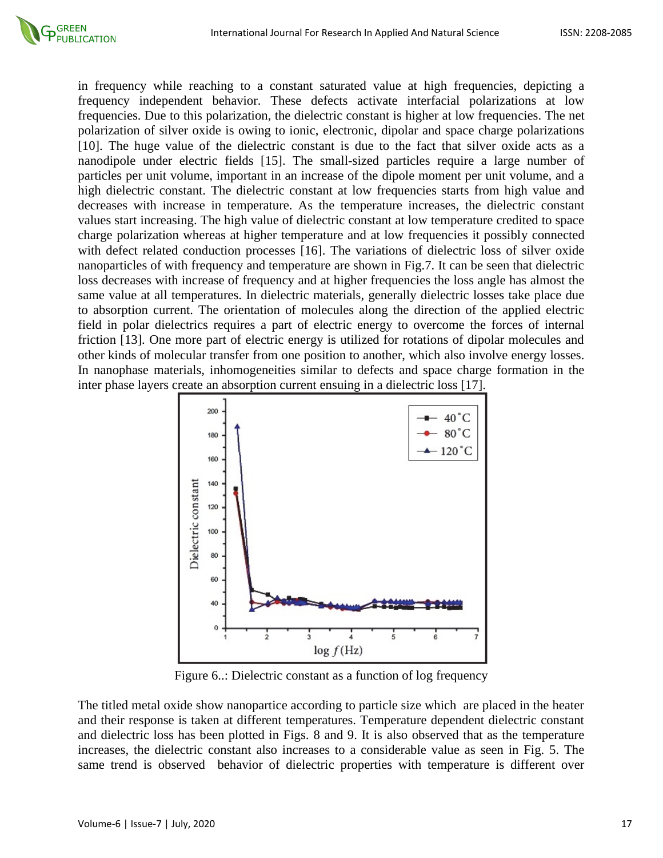

in frequency while reaching to a constant saturated value at high frequencies, depicting a frequency independent behavior. These defects activate interfacial polarizations at low frequencies. Due to this polarization, the dielectric constant is higher at low frequencies. The net polarization of silver oxide is owing to ionic, electronic, dipolar and space charge polarizations [10]. The huge value of the dielectric constant is due to the fact that silver oxide acts as a nanodipole under electric fields [15]. The small-sized particles require a large number of particles per unit volume, important in an increase of the dipole moment per unit volume, and a high dielectric constant. The dielectric constant at low frequencies starts from high value and decreases with increase in temperature. As the temperature increases, the dielectric constant values start increasing. The high value of dielectric constant at low temperature credited to space charge polarization whereas at higher temperature and at low frequencies it possibly connected with defect related conduction processes [16]. The variations of dielectric loss of silver oxide nanoparticles of with frequency and temperature are shown in Fig.7. It can be seen that dielectric loss decreases with increase of frequency and at higher frequencies the loss angle has almost the same value at all temperatures. In dielectric materials, generally dielectric losses take place due to absorption current. The orientation of molecules along the direction of the applied electric field in polar dielectrics requires a part of electric energy to overcome the forces of internal friction [13]. One more part of electric energy is utilized for rotations of dipolar molecules and other kinds of molecular transfer from one position to another, which also involve energy losses. In nanophase materials, inhomogeneities similar to defects and space charge formation in the inter phase layers create an absorption current ensuing in a dielectric loss [17].



Figure 6..: Dielectric constant as a function of log frequency

The titled metal oxide show nanopartice according to particle size which are placed in the heater and their response is taken at different temperatures. Temperature dependent dielectric constant and dielectric loss has been plotted in Figs. 8 and 9. It is also observed that as the temperature increases, the dielectric constant also increases to a considerable value as seen in Fig. 5. The same trend is observed behavior of dielectric properties with temperature is different over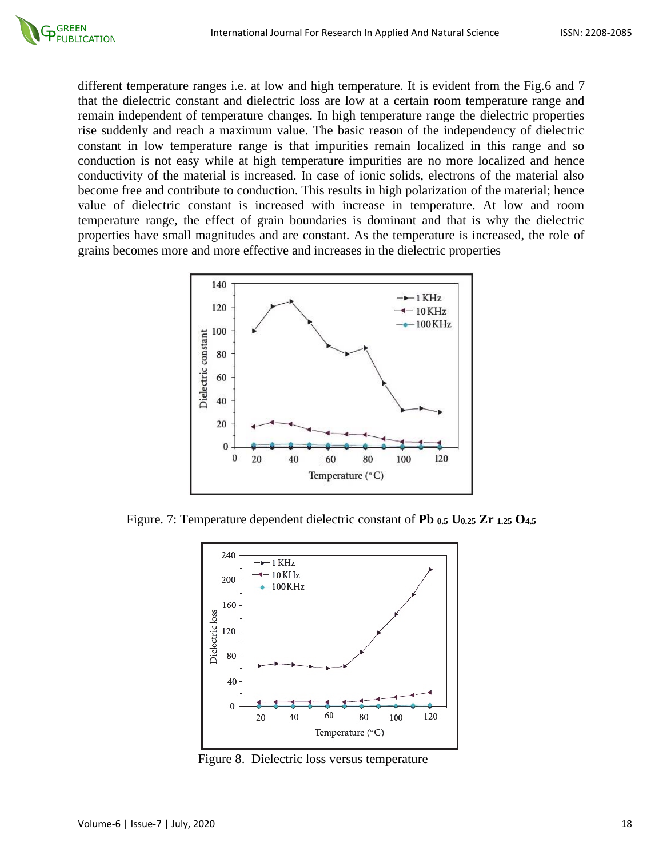different temperature ranges i.e. at low and high temperature. It is evident from the Fig.6 and 7 that the dielectric constant and dielectric loss are low at a certain room temperature range and remain independent of temperature changes. In high temperature range the dielectric properties rise suddenly and reach a maximum value. The basic reason of the independency of dielectric constant in low temperature range is that impurities remain localized in this range and so conduction is not easy while at high temperature impurities are no more localized and hence conductivity of the material is increased. In case of ionic solids, electrons of the material also become free and contribute to conduction. This results in high polarization of the material; hence value of dielectric constant is increased with increase in temperature. At low and room temperature range, the effect of grain boundaries is dominant and that is why the dielectric properties have small magnitudes and are constant. As the temperature is increased, the role of grains becomes more and more effective and increases in the dielectric properties



Figure. 7: Temperature dependent dielectric constant of **Pb 0.5 U0.25 Zr 1.25 O4.5**



Figure 8. Dielectric loss versus temperature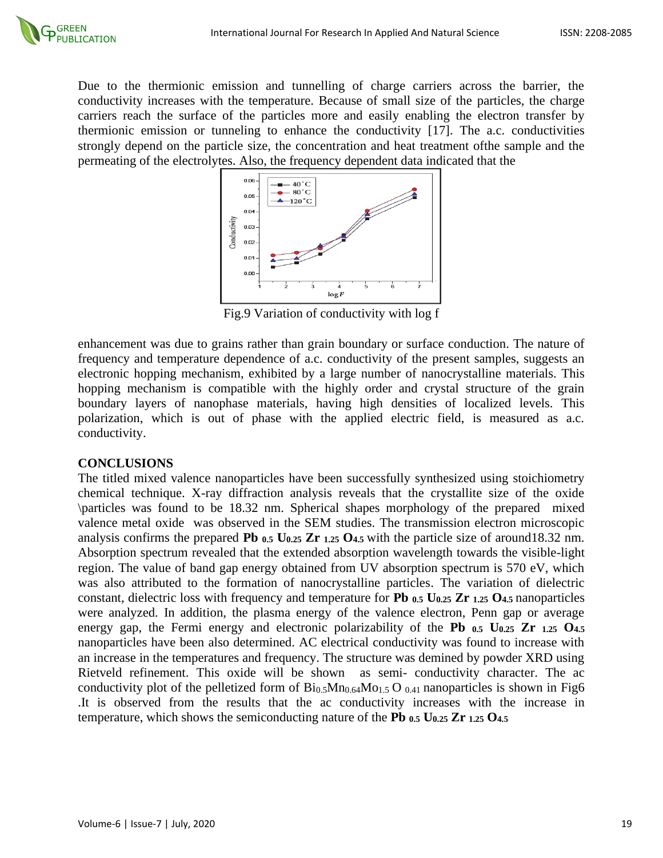Due to the thermionic emission and tunnelling of charge carriers across the barrier, the conductivity increases with the temperature. Because of small size of the particles, the charge carriers reach the surface of the particles more and easily enabling the electron transfer by thermionic emission or tunneling to enhance the conductivity [17]. The a.c. conductivities strongly depend on the particle size, the concentration and heat treatment ofthe sample and the permeating of the electrolytes. Also, the frequency dependent data indicated that the



Fig.9 Variation of conductivity with log f

enhancement was due to grains rather than grain boundary or surface conduction. The nature of frequency and temperature dependence of a.c. conductivity of the present samples, suggests an electronic hopping mechanism, exhibited by a large number of nanocrystalline materials. This hopping mechanism is compatible with the highly order and crystal structure of the grain boundary layers of nanophase materials, having high densities of localized levels. This polarization, which is out of phase with the applied electric field, is measured as a.c. conductivity.

## **CONCLUSIONS**

The titled mixed valence nanoparticles have been successfully synthesized using stoichiometry chemical technique. X-ray diffraction analysis reveals that the crystallite size of the oxide \particles was found to be 18.32 nm. Spherical shapes morphology of the prepared mixed valence metal oxide was observed in the SEM studies. The transmission electron microscopic analysis confirms the prepared **Pb 0.5 U0.25 Zr 1.25 O4.5** with the particle size of around18.32 nm. Absorption spectrum revealed that the extended absorption wavelength towards the visible-light region. The value of band gap energy obtained from UV absorption spectrum is 570 eV, which was also attributed to the formation of nanocrystalline particles. The variation of dielectric constant, dielectric loss with frequency and temperature for **Pb 0.5 U0.25 Zr 1.25 O4.5** nanoparticles were analyzed. In addition, the plasma energy of the valence electron, Penn gap or average energy gap, the Fermi energy and electronic polarizability of the **Pb 0.5 U0.25 Zr 1.25 O4.5** nanoparticles have been also determined. AC electrical conductivity was found to increase with an increase in the temperatures and frequency. The structure was demined by powder XRD using Rietveld refinement. This oxide will be shown as semi- conductivity character. The ac conductivity plot of the pelletized form of  $Bi_{0.5}Mn_{0.64}Mo_{1.5}O_{0.41}$  nanoparticles is shown in Fig6 .It is observed from the results that the ac conductivity increases with the increase in temperature, which shows the semiconducting nature of the **Pb 0.5 U0.25 Zr 1.25 O4.5**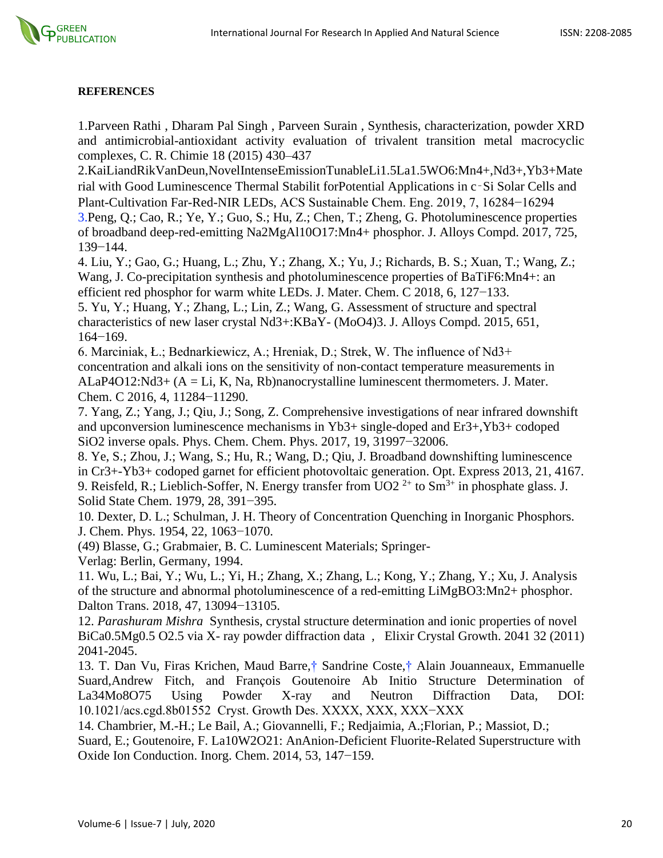

#### **REFERENCES**

1.Parveen Rathi , Dharam Pal Singh , Parveen Surain , Synthesis, characterization, powder XRD and antimicrobial-antioxidant activity evaluation of trivalent transition metal macrocyclic complexes, C. R. Chimie 18 (2015) 430–437

2.KaiLiandRikVanDeun,NovelIntenseEmissionTunableLi1.5La1.5WO6:Mn4+,Nd3+,Yb3+Mate rial with Good Luminescence Thermal Stabilit forPotential Applications in c‑Si Solar Cells and Plant-Cultivation Far-Red-NIR LEDs, ACS Sustainable Chem. Eng. 2019, 7, 16284−16294

3.Peng, Q.; Cao, R.; Ye, Y.; Guo, S.; Hu, Z.; Chen, T.; Zheng, G. Photoluminescence properties of broadband deep-red-emitting Na2MgAl10O17:Mn4+ phosphor. J. Alloys Compd. 2017, 725, 139−144.

4. Liu, Y.; Gao, G.; Huang, L.; Zhu, Y.; Zhang, X.; Yu, J.; Richards, B. S.; Xuan, T.; Wang, Z.; Wang, J. Co-precipitation synthesis and photoluminescence properties of BaTiF6:Mn4+: an efficient red phosphor for warm white LEDs. J. Mater. Chem. C 2018, 6, 127−133.

5. Yu, Y.; Huang, Y.; Zhang, L.; Lin, Z.; Wang, G. Assessment of structure and spectral characteristics of new laser crystal Nd3+:KBaY- (MoO4)3. J. Alloys Compd. 2015, 651, 164−169.

6. Marciniak, Ł.; Bednarkiewicz, A.; Hreniak, D.; Strek, W. The influence of Nd3+ concentration and alkali ions on the sensitivity of non-contact temperature measurements in  $ALaP4O12:Nd3+ (A = Li, K, Na, Rb)nanocrystalline luminescent thermometers. J. Mater.$ Chem. C 2016, 4, 11284−11290.

7. Yang, Z.; Yang, J.; Qiu, J.; Song, Z. Comprehensive investigations of near infrared downshift and upconversion luminescence mechanisms in Yb3+ single-doped and Er3+,Yb3+ codoped SiO2 inverse opals. Phys. Chem. Chem. Phys. 2017, 19, 31997−32006.

8. Ye, S.; Zhou, J.; Wang, S.; Hu, R.; Wang, D.; Qiu, J. Broadband downshifting luminescence in Cr3+-Yb3+ codoped garnet for efficient photovoltaic generation. Opt. Express 2013, 21, 4167. 9. Reisfeld, R.; Lieblich-Soffer, N. Energy transfer from  $UO2^{2+}$  to  $Sm^{3+}$  in phosphate glass. J. Solid State Chem. 1979, 28, 391−395.

10. Dexter, D. L.; Schulman, J. H. Theory of Concentration Quenching in Inorganic Phosphors. J. Chem. Phys. 1954, 22, 1063−1070.

(49) Blasse, G.; Grabmaier, B. C. Luminescent Materials; Springer-

Verlag: Berlin, Germany, 1994.

11. Wu, L.; Bai, Y.; Wu, L.; Yi, H.; Zhang, X.; Zhang, L.; Kong, Y.; Zhang, Y.; Xu, J. Analysis of the structure and abnormal photoluminescence of a red-emitting LiMgBO3:Mn2+ phosphor. Dalton Trans. 2018, 47, 13094−13105.

12. *Parashuram Mishra* Synthesis, crystal structure determination and ionic properties of novel BiCa0.5Mg0.5 O2.5 via X- ray powder diffraction data *,* Elixir Crystal Growth. 2041 32 (2011) 2041-2045.

13. T. Dan Vu, Firas Krichen, Maud Barre,† Sandrine Coste,† Alain Jouanneaux, Emmanuelle Suard,Andrew Fitch, and François Goutenoire Ab Initio Structure Determination of La34Mo8O75 Using Powder X-ray and Neutron Diffraction Data, DOI: 10.1021/acs.cgd.8b01552 Cryst. Growth Des. XXXX, XXX, XXX−XXX

14. Chambrier, M.-H.; Le Bail, A.; Giovannelli, F.; Redjaimia, A.;Florian, P.; Massiot, D.;

Suard, E.; Goutenoire, F. La10W2O21: AnAnion-Deficient Fluorite-Related Superstructure with Oxide Ion Conduction. Inorg. Chem. 2014, 53, 147−159.